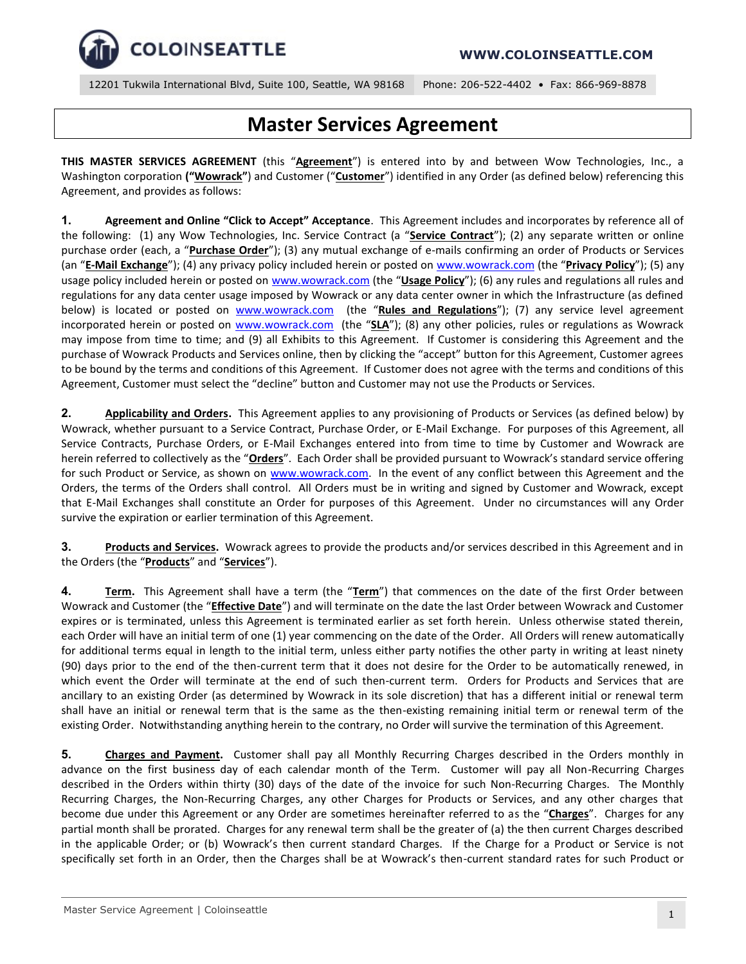

# **Master Services Agreement**

**THIS MASTER SERVICES AGREEMENT** (this "**Agreement**") is entered into by and between Wow Technologies, Inc., a Washington corporation **("Wowrack"**) and Customer ("**Customer**") identified in any Order (as defined below) referencing this Agreement, and provides as follows:

**1. Agreement and Online "Click to Accept" Acceptance**. This Agreement includes and incorporates by reference all of the following: (1) any Wow Technologies, Inc. Service Contract (a "**Service Contract**"); (2) any separate written or online purchase order (each, a "**Purchase Order**"); (3) any mutual exchange of e-mails confirming an order of Products or Services (an "**E-Mail Exchange**"); (4) any privacy policy included herein or posted on [www.wowrack.com](http://www.wowrack.com/) (the "**Privacy Policy**"); (5) any usage policy included herein or posted on [www.wowrack.com](http://www.wowrack.com/) (the "**Usage Policy**"); (6) any rules and regulations all rules and regulations for any data center usage imposed by Wowrack or any data center owner in which the Infrastructure (as defined below) is located or posted on [www.wowrack.com](http://www.wowrack.com/) (the "**Rules and Regulations**"); (7) any service level agreement incorporated herein or posted on [www.wowrack.com](http://www.wowrack.com/) (the "**SLA**"); (8) any other policies, rules or regulations as Wowrack may impose from time to time; and (9) all Exhibits to this Agreement. If Customer is considering this Agreement and the purchase of Wowrack Products and Services online, then by clicking the "accept" button for this Agreement, Customer agrees to be bound by the terms and conditions of this Agreement. If Customer does not agree with the terms and conditions of this Agreement, Customer must select the "decline" button and Customer may not use the Products or Services.

**2. Applicability and Orders.** This Agreement applies to any provisioning of Products or Services (as defined below) by Wowrack, whether pursuant to a Service Contract, Purchase Order, or E-Mail Exchange. For purposes of this Agreement, all Service Contracts, Purchase Orders, or E-Mail Exchanges entered into from time to time by Customer and Wowrack are herein referred to collectively as the "**Orders**". Each Order shall be provided pursuant to Wowrack's standard service offering for such Product or Service, as shown on [www.wowrack.com.](file:///F:/wowrack%20data/www.wowrack.com) In the event of any conflict between this Agreement and the Orders, the terms of the Orders shall control. All Orders must be in writing and signed by Customer and Wowrack, except that E-Mail Exchanges shall constitute an Order for purposes of this Agreement. Under no circumstances will any Order survive the expiration or earlier termination of this Agreement.

**3. Products and Services.** Wowrack agrees to provide the products and/or services described in this Agreement and in the Orders (the "**Products**" and "**Services**").

**4. Term.** This Agreement shall have a term (the "**Term**") that commences on the date of the first Order between Wowrack and Customer (the "**Effective Date**") and will terminate on the date the last Order between Wowrack and Customer expires or is terminated, unless this Agreement is terminated earlier as set forth herein. Unless otherwise stated therein, each Order will have an initial term of one (1) year commencing on the date of the Order. All Orders will renew automatically for additional terms equal in length to the initial term, unless either party notifies the other party in writing at least ninety (90) days prior to the end of the then-current term that it does not desire for the Order to be automatically renewed, in which event the Order will terminate at the end of such then-current term. Orders for Products and Services that are ancillary to an existing Order (as determined by Wowrack in its sole discretion) that has a different initial or renewal term shall have an initial or renewal term that is the same as the then-existing remaining initial term or renewal term of the existing Order. Notwithstanding anything herein to the contrary, no Order will survive the termination of this Agreement.

**5. Charges and Payment.** Customer shall pay all Monthly Recurring Charges described in the Orders monthly in advance on the first business day of each calendar month of the Term. Customer will pay all Non-Recurring Charges described in the Orders within thirty (30) days of the date of the invoice for such Non-Recurring Charges. The Monthly Recurring Charges, the Non-Recurring Charges, any other Charges for Products or Services, and any other charges that become due under this Agreement or any Order are sometimes hereinafter referred to as the "**Charges**". Charges for any partial month shall be prorated. Charges for any renewal term shall be the greater of (a) the then current Charges described in the applicable Order; or (b) Wowrack's then current standard Charges. If the Charge for a Product or Service is not specifically set forth in an Order, then the Charges shall be at Wowrack's then-current standard rates for such Product or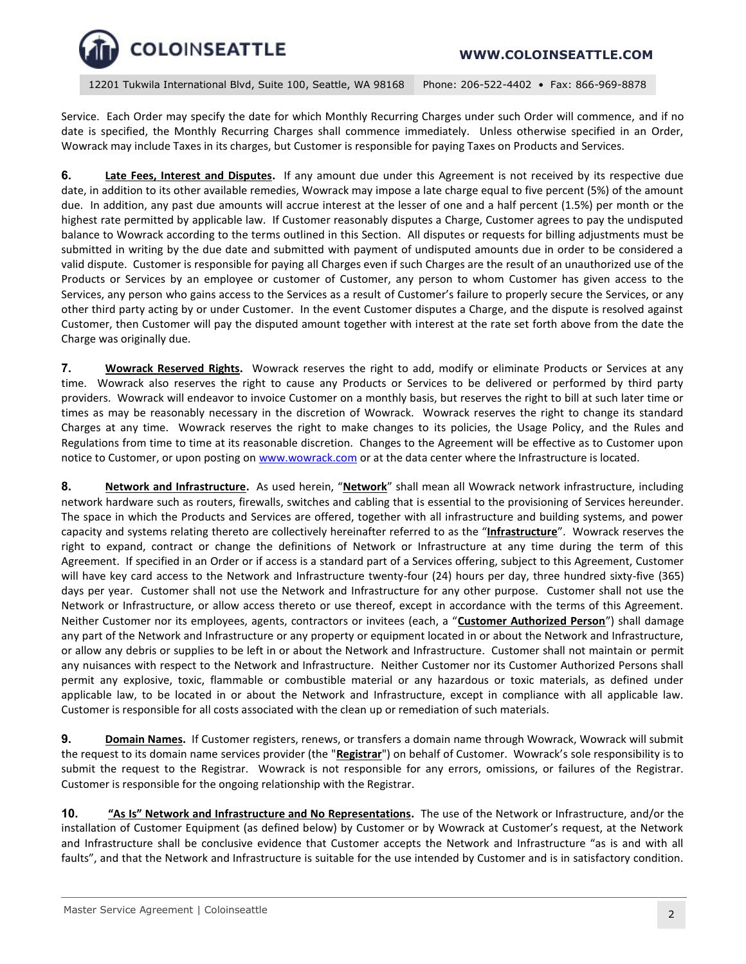12201 Tukwila International Blvd, Suite 100, Seattle, WA 98168 Phone: 206-522-4402 • Fax: 866-969-8878

Service. Each Order may specify the date for which Monthly Recurring Charges under such Order will commence, and if no date is specified, the Monthly Recurring Charges shall commence immediately. Unless otherwise specified in an Order, Wowrack may include Taxes in its charges, but Customer is responsible for paying Taxes on Products and Services.

**6. Late Fees, Interest and Disputes.** If any amount due under this Agreement is not received by its respective due date, in addition to its other available remedies, Wowrack may impose a late charge equal to five percent (5%) of the amount due. In addition, any past due amounts will accrue interest at the lesser of one and a half percent (1.5%) per month or the highest rate permitted by applicable law. If Customer reasonably disputes a Charge, Customer agrees to pay the undisputed balance to Wowrack according to the terms outlined in this Section. All disputes or requests for billing adjustments must be submitted in writing by the due date and submitted with payment of undisputed amounts due in order to be considered a valid dispute. Customer is responsible for paying all Charges even if such Charges are the result of an unauthorized use of the Products or Services by an employee or customer of Customer, any person to whom Customer has given access to the Services, any person who gains access to the Services as a result of Customer's failure to properly secure the Services, or any other third party acting by or under Customer. In the event Customer disputes a Charge, and the dispute is resolved against Customer, then Customer will pay the disputed amount together with interest at the rate set forth above from the date the Charge was originally due.

**7. Wowrack Reserved Rights.** Wowrack reserves the right to add, modify or eliminate Products or Services at any time. Wowrack also reserves the right to cause any Products or Services to be delivered or performed by third party providers. Wowrack will endeavor to invoice Customer on a monthly basis, but reserves the right to bill at such later time or times as may be reasonably necessary in the discretion of Wowrack. Wowrack reserves the right to change its standard Charges at any time. Wowrack reserves the right to make changes to its policies, the Usage Policy, and the Rules and Regulations from time to time at its reasonable discretion. Changes to the Agreement will be effective as to Customer upon notice to Customer, or upon posting o[n www.wowrack.com](http://www.wowrack.com/) or at the data center where the Infrastructure is located.

**8. Network and Infrastructure.** As used herein, "**Network**" shall mean all Wowrack network infrastructure, including network hardware such as routers, firewalls, switches and cabling that is essential to the provisioning of Services hereunder. The space in which the Products and Services are offered, together with all infrastructure and building systems, and power capacity and systems relating thereto are collectively hereinafter referred to as the "**Infrastructure**". Wowrack reserves the right to expand, contract or change the definitions of Network or Infrastructure at any time during the term of this Agreement. If specified in an Order or if access is a standard part of a Services offering, subject to this Agreement, Customer will have key card access to the Network and Infrastructure twenty-four (24) hours per day, three hundred sixty-five (365) days per year. Customer shall not use the Network and Infrastructure for any other purpose. Customer shall not use the Network or Infrastructure, or allow access thereto or use thereof, except in accordance with the terms of this Agreement. Neither Customer nor its employees, agents, contractors or invitees (each, a "**Customer Authorized Person**") shall damage any part of the Network and Infrastructure or any property or equipment located in or about the Network and Infrastructure, or allow any debris or supplies to be left in or about the Network and Infrastructure. Customer shall not maintain or permit any nuisances with respect to the Network and Infrastructure. Neither Customer nor its Customer Authorized Persons shall permit any explosive, toxic, flammable or combustible material or any hazardous or toxic materials, as defined under applicable law, to be located in or about the Network and Infrastructure, except in compliance with all applicable law. Customer is responsible for all costs associated with the clean up or remediation of such materials.

**9. Domain Names.** If Customer registers, renews, or transfers a domain name through Wowrack, Wowrack will submit the request to its domain name services provider (the "**Registrar**") on behalf of Customer. Wowrack's sole responsibility is to submit the request to the Registrar. Wowrack is not responsible for any errors, omissions, or failures of the Registrar. Customer is responsible for the ongoing relationship with the Registrar.

**10. "As Is" Network and Infrastructure and No Representations.** The use of the Network or Infrastructure, and/or the installation of Customer Equipment (as defined below) by Customer or by Wowrack at Customer's request, at the Network and Infrastructure shall be conclusive evidence that Customer accepts the Network and Infrastructure "as is and with all faults", and that the Network and Infrastructure is suitable for the use intended by Customer and is in satisfactory condition.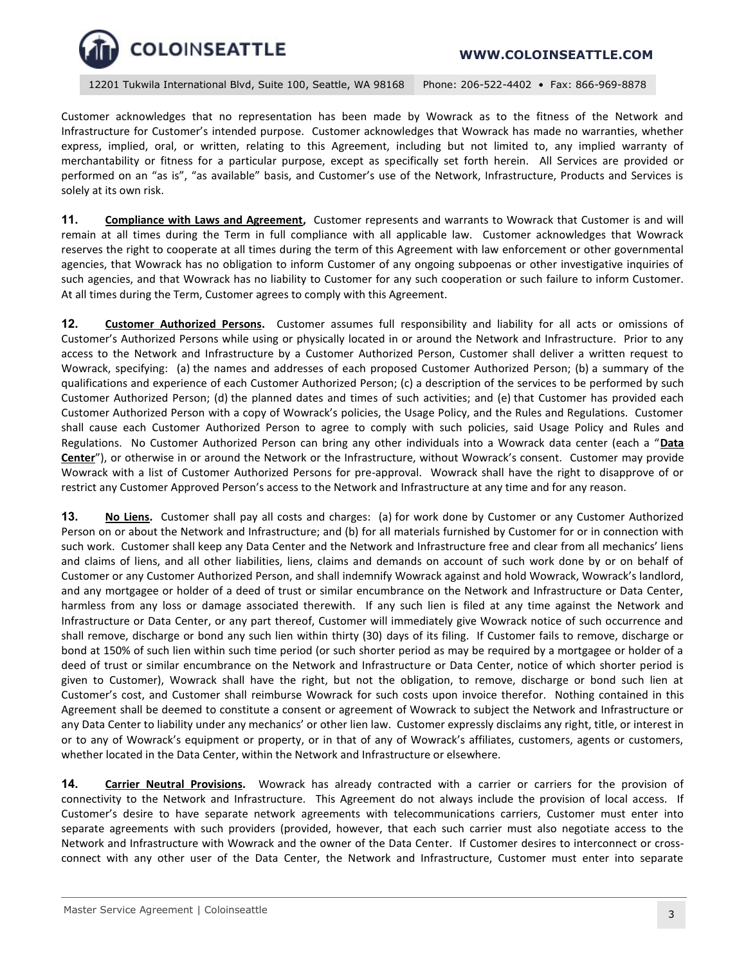

Customer acknowledges that no representation has been made by Wowrack as to the fitness of the Network and Infrastructure for Customer's intended purpose. Customer acknowledges that Wowrack has made no warranties, whether express, implied, oral, or written, relating to this Agreement, including but not limited to, any implied warranty of merchantability or fitness for a particular purpose, except as specifically set forth herein. All Services are provided or performed on an "as is", "as available" basis, and Customer's use of the Network, Infrastructure, Products and Services is solely at its own risk.

**11. Compliance with Laws and Agreement,** Customer represents and warrants to Wowrack that Customer is and will remain at all times during the Term in full compliance with all applicable law. Customer acknowledges that Wowrack reserves the right to cooperate at all times during the term of this Agreement with law enforcement or other governmental agencies, that Wowrack has no obligation to inform Customer of any ongoing subpoenas or other investigative inquiries of such agencies, and that Wowrack has no liability to Customer for any such cooperation or such failure to inform Customer. At all times during the Term, Customer agrees to comply with this Agreement.

**12. Customer Authorized Persons.** Customer assumes full responsibility and liability for all acts or omissions of Customer's Authorized Persons while using or physically located in or around the Network and Infrastructure. Prior to any access to the Network and Infrastructure by a Customer Authorized Person, Customer shall deliver a written request to Wowrack, specifying: (a) the names and addresses of each proposed Customer Authorized Person; (b) a summary of the qualifications and experience of each Customer Authorized Person; (c) a description of the services to be performed by such Customer Authorized Person; (d) the planned dates and times of such activities; and (e) that Customer has provided each Customer Authorized Person with a copy of Wowrack's policies, the Usage Policy, and the Rules and Regulations. Customer shall cause each Customer Authorized Person to agree to comply with such policies, said Usage Policy and Rules and Regulations. No Customer Authorized Person can bring any other individuals into a Wowrack data center (each a "**Data Center**"), or otherwise in or around the Network or the Infrastructure, without Wowrack's consent. Customer may provide Wowrack with a list of Customer Authorized Persons for pre-approval. Wowrack shall have the right to disapprove of or restrict any Customer Approved Person's access to the Network and Infrastructure at any time and for any reason.

**13. No Liens.** Customer shall pay all costs and charges: (a) for work done by Customer or any Customer Authorized Person on or about the Network and Infrastructure; and (b) for all materials furnished by Customer for or in connection with such work. Customer shall keep any Data Center and the Network and Infrastructure free and clear from all mechanics' liens and claims of liens, and all other liabilities, liens, claims and demands on account of such work done by or on behalf of Customer or any Customer Authorized Person, and shall indemnify Wowrack against and hold Wowrack, Wowrack's landlord, and any mortgagee or holder of a deed of trust or similar encumbrance on the Network and Infrastructure or Data Center, harmless from any loss or damage associated therewith. If any such lien is filed at any time against the Network and Infrastructure or Data Center, or any part thereof, Customer will immediately give Wowrack notice of such occurrence and shall remove, discharge or bond any such lien within thirty (30) days of its filing. If Customer fails to remove, discharge or bond at 150% of such lien within such time period (or such shorter period as may be required by a mortgagee or holder of a deed of trust or similar encumbrance on the Network and Infrastructure or Data Center, notice of which shorter period is given to Customer), Wowrack shall have the right, but not the obligation, to remove, discharge or bond such lien at Customer's cost, and Customer shall reimburse Wowrack for such costs upon invoice therefor. Nothing contained in this Agreement shall be deemed to constitute a consent or agreement of Wowrack to subject the Network and Infrastructure or any Data Center to liability under any mechanics' or other lien law. Customer expressly disclaims any right, title, or interest in or to any of Wowrack's equipment or property, or in that of any of Wowrack's affiliates, customers, agents or customers, whether located in the Data Center, within the Network and Infrastructure or elsewhere.

**14. Carrier Neutral Provisions.** Wowrack has already contracted with a carrier or carriers for the provision of connectivity to the Network and Infrastructure. This Agreement do not always include the provision of local access. If Customer's desire to have separate network agreements with telecommunications carriers, Customer must enter into separate agreements with such providers (provided, however, that each such carrier must also negotiate access to the Network and Infrastructure with Wowrack and the owner of the Data Center. If Customer desires to interconnect or crossconnect with any other user of the Data Center, the Network and Infrastructure, Customer must enter into separate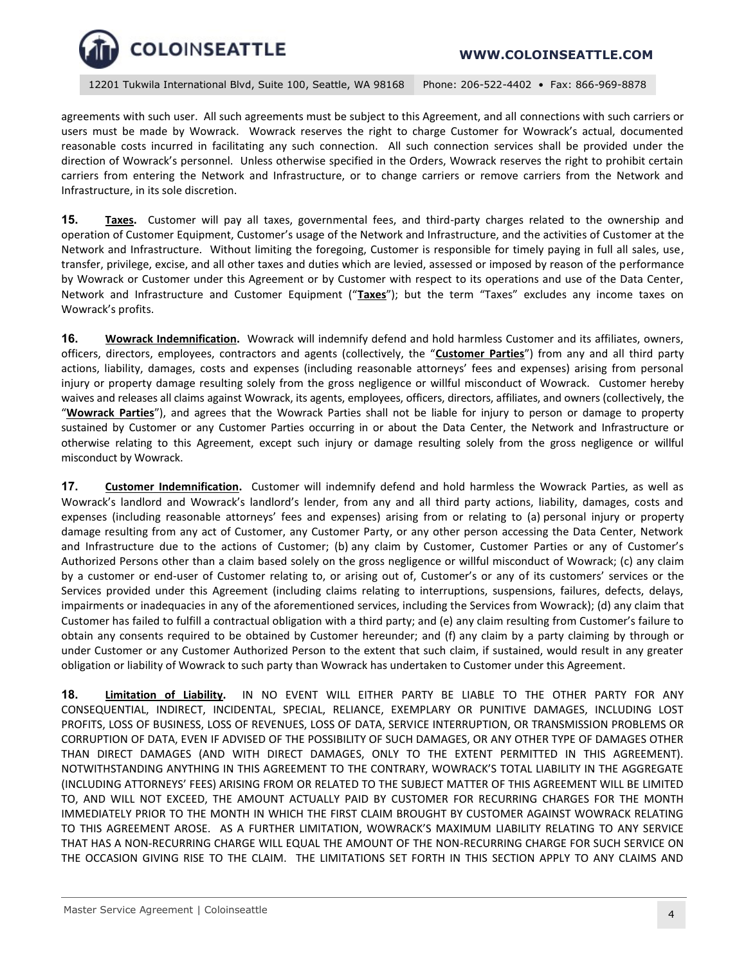

agreements with such user. All such agreements must be subject to this Agreement, and all connections with such carriers or users must be made by Wowrack. Wowrack reserves the right to charge Customer for Wowrack's actual, documented reasonable costs incurred in facilitating any such connection. All such connection services shall be provided under the direction of Wowrack's personnel. Unless otherwise specified in the Orders, Wowrack reserves the right to prohibit certain carriers from entering the Network and Infrastructure, or to change carriers or remove carriers from the Network and Infrastructure, in its sole discretion.

**15. Taxes.** Customer will pay all taxes, governmental fees, and third-party charges related to the ownership and operation of Customer Equipment, Customer's usage of the Network and Infrastructure, and the activities of Customer at the Network and Infrastructure. Without limiting the foregoing, Customer is responsible for timely paying in full all sales, use, transfer, privilege, excise, and all other taxes and duties which are levied, assessed or imposed by reason of the performance by Wowrack or Customer under this Agreement or by Customer with respect to its operations and use of the Data Center, Network and Infrastructure and Customer Equipment ("**Taxes**"); but the term "Taxes" excludes any income taxes on Wowrack's profits.

**16. Wowrack Indemnification.** Wowrack will indemnify defend and hold harmless Customer and its affiliates, owners, officers, directors, employees, contractors and agents (collectively, the "**Customer Parties**") from any and all third party actions, liability, damages, costs and expenses (including reasonable attorneys' fees and expenses) arising from personal injury or property damage resulting solely from the gross negligence or willful misconduct of Wowrack. Customer hereby waives and releases all claims against Wowrack, its agents, employees, officers, directors, affiliates, and owners (collectively, the "**Wowrack Parties**"), and agrees that the Wowrack Parties shall not be liable for injury to person or damage to property sustained by Customer or any Customer Parties occurring in or about the Data Center, the Network and Infrastructure or otherwise relating to this Agreement, except such injury or damage resulting solely from the gross negligence or willful misconduct by Wowrack.

**17. Customer Indemnification.** Customer will indemnify defend and hold harmless the Wowrack Parties, as well as Wowrack's landlord and Wowrack's landlord's lender, from any and all third party actions, liability, damages, costs and expenses (including reasonable attorneys' fees and expenses) arising from or relating to (a) personal injury or property damage resulting from any act of Customer, any Customer Party, or any other person accessing the Data Center, Network and Infrastructure due to the actions of Customer; (b) any claim by Customer, Customer Parties or any of Customer's Authorized Persons other than a claim based solely on the gross negligence or willful misconduct of Wowrack; (c) any claim by a customer or end-user of Customer relating to, or arising out of, Customer's or any of its customers' services or the Services provided under this Agreement (including claims relating to interruptions, suspensions, failures, defects, delays, impairments or inadequacies in any of the aforementioned services, including the Services from Wowrack); (d) any claim that Customer has failed to fulfill a contractual obligation with a third party; and (e) any claim resulting from Customer's failure to obtain any consents required to be obtained by Customer hereunder; and (f) any claim by a party claiming by through or under Customer or any Customer Authorized Person to the extent that such claim, if sustained, would result in any greater obligation or liability of Wowrack to such party than Wowrack has undertaken to Customer under this Agreement.

**18. Limitation of Liability.** IN NO EVENT WILL EITHER PARTY BE LIABLE TO THE OTHER PARTY FOR ANY CONSEQUENTIAL, INDIRECT, INCIDENTAL, SPECIAL, RELIANCE, EXEMPLARY OR PUNITIVE DAMAGES, INCLUDING LOST PROFITS, LOSS OF BUSINESS, LOSS OF REVENUES, LOSS OF DATA, SERVICE INTERRUPTION, OR TRANSMISSION PROBLEMS OR CORRUPTION OF DATA, EVEN IF ADVISED OF THE POSSIBILITY OF SUCH DAMAGES, OR ANY OTHER TYPE OF DAMAGES OTHER THAN DIRECT DAMAGES (AND WITH DIRECT DAMAGES, ONLY TO THE EXTENT PERMITTED IN THIS AGREEMENT). NOTWITHSTANDING ANYTHING IN THIS AGREEMENT TO THE CONTRARY, WOWRACK'S TOTAL LIABILITY IN THE AGGREGATE (INCLUDING ATTORNEYS' FEES) ARISING FROM OR RELATED TO THE SUBJECT MATTER OF THIS AGREEMENT WILL BE LIMITED TO, AND WILL NOT EXCEED, THE AMOUNT ACTUALLY PAID BY CUSTOMER FOR RECURRING CHARGES FOR THE MONTH IMMEDIATELY PRIOR TO THE MONTH IN WHICH THE FIRST CLAIM BROUGHT BY CUSTOMER AGAINST WOWRACK RELATING TO THIS AGREEMENT AROSE.AS A FURTHER LIMITATION, WOWRACK'S MAXIMUM LIABILITY RELATING TO ANY SERVICE THAT HAS A NON-RECURRING CHARGE WILL EQUAL THE AMOUNT OF THE NON-RECURRING CHARGE FOR SUCH SERVICE ON THE OCCASION GIVING RISE TO THE CLAIM. THE LIMITATIONS SET FORTH IN THIS SECTION APPLY TO ANY CLAIMS AND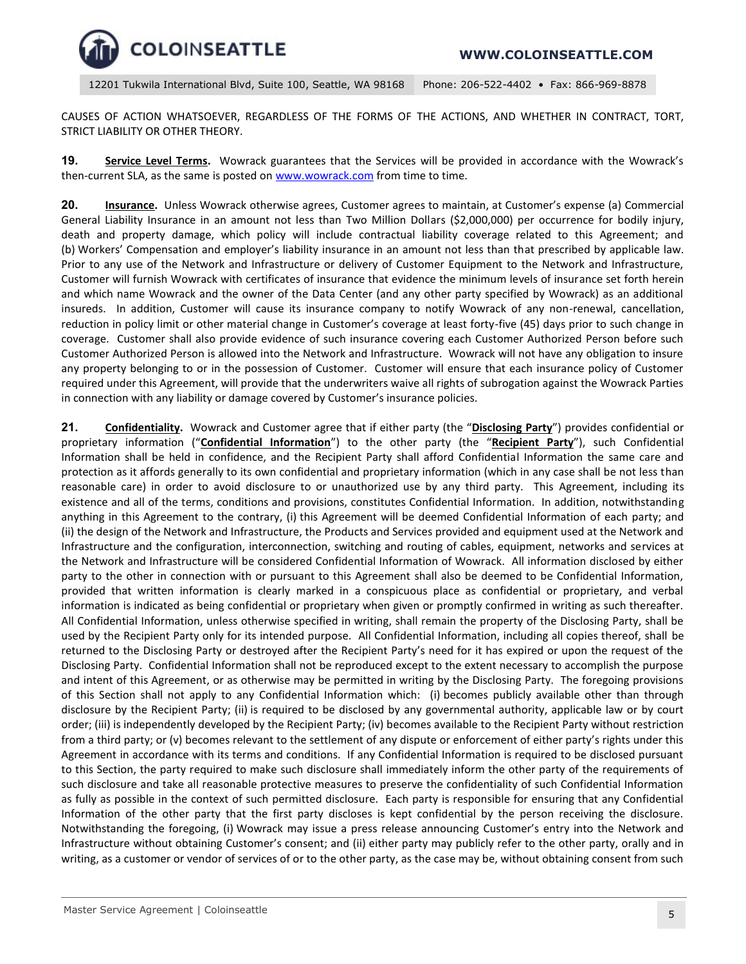

CAUSES OF ACTION WHATSOEVER, REGARDLESS OF THE FORMS OF THE ACTIONS, AND WHETHER IN CONTRACT, TORT, STRICT LIABILITY OR OTHER THEORY.

**19. Service Level Terms.** Wowrack guarantees that the Services will be provided in accordance with the Wowrack's then-current SLA, as the same is posted on [www.wowrack.com](http://www.wowrack.com/) from time to time.

**20. Insurance.** Unless Wowrack otherwise agrees, Customer agrees to maintain, at Customer's expense (a) Commercial General Liability Insurance in an amount not less than Two Million Dollars (\$2,000,000) per occurrence for bodily injury, death and property damage, which policy will include contractual liability coverage related to this Agreement; and (b) Workers' Compensation and employer's liability insurance in an amount not less than that prescribed by applicable law. Prior to any use of the Network and Infrastructure or delivery of Customer Equipment to the Network and Infrastructure, Customer will furnish Wowrack with certificates of insurance that evidence the minimum levels of insurance set forth herein and which name Wowrack and the owner of the Data Center (and any other party specified by Wowrack) as an additional insureds. In addition, Customer will cause its insurance company to notify Wowrack of any non-renewal, cancellation, reduction in policy limit or other material change in Customer's coverage at least forty-five (45) days prior to such change in coverage. Customer shall also provide evidence of such insurance covering each Customer Authorized Person before such Customer Authorized Person is allowed into the Network and Infrastructure. Wowrack will not have any obligation to insure any property belonging to or in the possession of Customer. Customer will ensure that each insurance policy of Customer required under this Agreement, will provide that the underwriters waive all rights of subrogation against the Wowrack Parties in connection with any liability or damage covered by Customer's insurance policies.

21. **Confidentiality.** Wowrack and Customer agree that if either party (the "Disclosing Party") provides confidential or proprietary information ("**Confidential Information**") to the other party (the "**Recipient Party**"), such Confidential Information shall be held in confidence, and the Recipient Party shall afford Confidential Information the same care and protection as it affords generally to its own confidential and proprietary information (which in any case shall be not less than reasonable care) in order to avoid disclosure to or unauthorized use by any third party. This Agreement, including its existence and all of the terms, conditions and provisions, constitutes Confidential Information. In addition, notwithstanding anything in this Agreement to the contrary, (i) this Agreement will be deemed Confidential Information of each party; and (ii) the design of the Network and Infrastructure, the Products and Services provided and equipment used at the Network and Infrastructure and the configuration, interconnection, switching and routing of cables, equipment, networks and services at the Network and Infrastructure will be considered Confidential Information of Wowrack. All information disclosed by either party to the other in connection with or pursuant to this Agreement shall also be deemed to be Confidential Information, provided that written information is clearly marked in a conspicuous place as confidential or proprietary, and verbal information is indicated as being confidential or proprietary when given or promptly confirmed in writing as such thereafter. All Confidential Information, unless otherwise specified in writing, shall remain the property of the Disclosing Party, shall be used by the Recipient Party only for its intended purpose. All Confidential Information, including all copies thereof, shall be returned to the Disclosing Party or destroyed after the Recipient Party's need for it has expired or upon the request of the Disclosing Party. Confidential Information shall not be reproduced except to the extent necessary to accomplish the purpose and intent of this Agreement, or as otherwise may be permitted in writing by the Disclosing Party. The foregoing provisions of this Section shall not apply to any Confidential Information which: (i) becomes publicly available other than through disclosure by the Recipient Party; (ii) is required to be disclosed by any governmental authority, applicable law or by court order; (iii) is independently developed by the Recipient Party; (iv) becomes available to the Recipient Party without restriction from a third party; or (v) becomes relevant to the settlement of any dispute or enforcement of either party's rights under this Agreement in accordance with its terms and conditions. If any Confidential Information is required to be disclosed pursuant to this Section, the party required to make such disclosure shall immediately inform the other party of the requirements of such disclosure and take all reasonable protective measures to preserve the confidentiality of such Confidential Information as fully as possible in the context of such permitted disclosure. Each party is responsible for ensuring that any Confidential Information of the other party that the first party discloses is kept confidential by the person receiving the disclosure. Notwithstanding the foregoing, (i) Wowrack may issue a press release announcing Customer's entry into the Network and Infrastructure without obtaining Customer's consent; and (ii) either party may publicly refer to the other party, orally and in writing, as a customer or vendor of services of or to the other party, as the case may be, without obtaining consent from such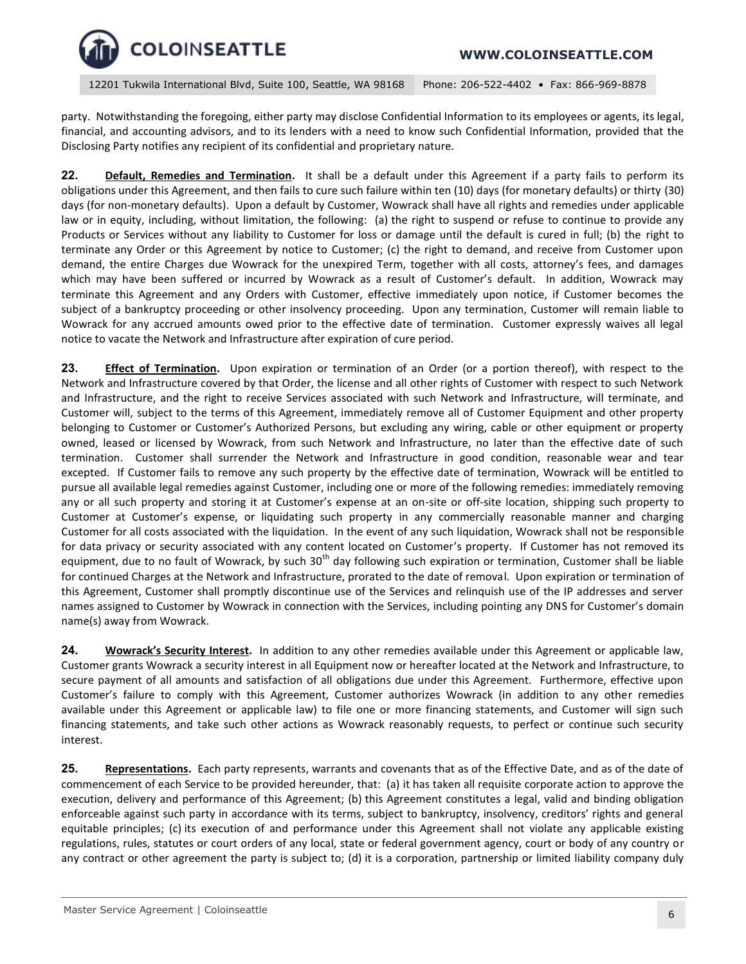

party. Notwithstanding the foregoing, either party may disclose Confidential Information to its employees or agents, its legal, financial, and accounting advisors, and to its lenders with a need to know such Confidential Information, provided that the Disclosing Party notifies any recipient of its confidential and proprietary nature.

**22. Default, Remedies and Termination.** It shall be a default under this Agreement if a party fails to perform its obligations under this Agreement, and then fails to cure such failure within ten (10) days (for monetary defaults) or thirty (30) days (for non-monetary defaults). Upon a default by Customer, Wowrack shall have all rights and remedies under applicable law or in equity, including, without limitation, the following: (a) the right to suspend or refuse to continue to provide any Products or Services without any liability to Customer for loss or damage until the default is cured in full; (b) the right to terminate any Order or this Agreement by notice to Customer; (c) the right to demand, and receive from Customer upon demand, the entire Charges due Wowrack for the unexpired Term, together with all costs, attorney's fees, and damages which may have been suffered or incurred by Wowrack as a result of Customer's default. In addition, Wowrack may terminate this Agreement and any Orders with Customer, effective immediately upon notice, if Customer becomes the subject of a bankruptcy proceeding or other insolvency proceeding. Upon any termination, Customer will remain liable to Wowrack for any accrued amounts owed prior to the effective date of termination. Customer expressly waives all legal notice to vacate the Network and Infrastructure after expiration of cure period.

**23. Effect of Termination.** Upon expiration or termination of an Order (or a portion thereof), with respect to the Network and Infrastructure covered by that Order, the license and all other rights of Customer with respect to such Network and Infrastructure, and the right to receive Services associated with such Network and Infrastructure, will terminate, and Customer will, subject to the terms of this Agreement, immediately remove all of Customer Equipment and other property belonging to Customer or Customer's Authorized Persons, but excluding any wiring, cable or other equipment or property owned, leased or licensed by Wowrack, from such Network and Infrastructure, no later than the effective date of such termination. Customer shall surrender the Network and Infrastructure in good condition, reasonable wear and tear excepted. If Customer fails to remove any such property by the effective date of termination, Wowrack will be entitled to pursue all available legal remedies against Customer, including one or more of the following remedies: immediately removing any or all such property and storing it at Customer's expense at an on-site or off-site location, shipping such property to Customer at Customer's expense, or liquidating such property in any commercially reasonable manner and charging Customer for all costs associated with the liquidation. In the event of any such liquidation, Wowrack shall not be responsible for data privacy or security associated with any content located on Customer's property. If Customer has not removed its equipment, due to no fault of Wowrack, by such  $30<sup>th</sup>$  day following such expiration or termination, Customer shall be liable for continued Charges at the Network and Infrastructure, prorated to the date of removal. Upon expiration or termination of this Agreement, Customer shall promptly discontinue use of the Services and relinquish use of the IP addresses and server names assigned to Customer by Wowrack in connection with the Services, including pointing any DNS for Customer's domain name(s) away from Wowrack.

**24. Wowrack's Security Interest.** In addition to any other remedies available under this Agreement or applicable law, Customer grants Wowrack a security interest in all Equipment now or hereafter located at the Network and Infrastructure, to secure payment of all amounts and satisfaction of all obligations due under this Agreement. Furthermore, effective upon Customer's failure to comply with this Agreement, Customer authorizes Wowrack (in addition to any other remedies available under this Agreement or applicable law) to file one or more financing statements, and Customer will sign such financing statements, and take such other actions as Wowrack reasonably requests, to perfect or continue such security interest.

**25. Representations.** Each party represents, warrants and covenants that as of the Effective Date, and as of the date of commencement of each Service to be provided hereunder, that: (a) it has taken all requisite corporate action to approve the execution, delivery and performance of this Agreement; (b) this Agreement constitutes a legal, valid and binding obligation enforceable against such party in accordance with its terms, subject to bankruptcy, insolvency, creditors' rights and general equitable principles; (c) its execution of and performance under this Agreement shall not violate any applicable existing regulations, rules, statutes or court orders of any local, state or federal government agency, court or body of any country or any contract or other agreement the party is subject to; (d) it is a corporation, partnership or limited liability company duly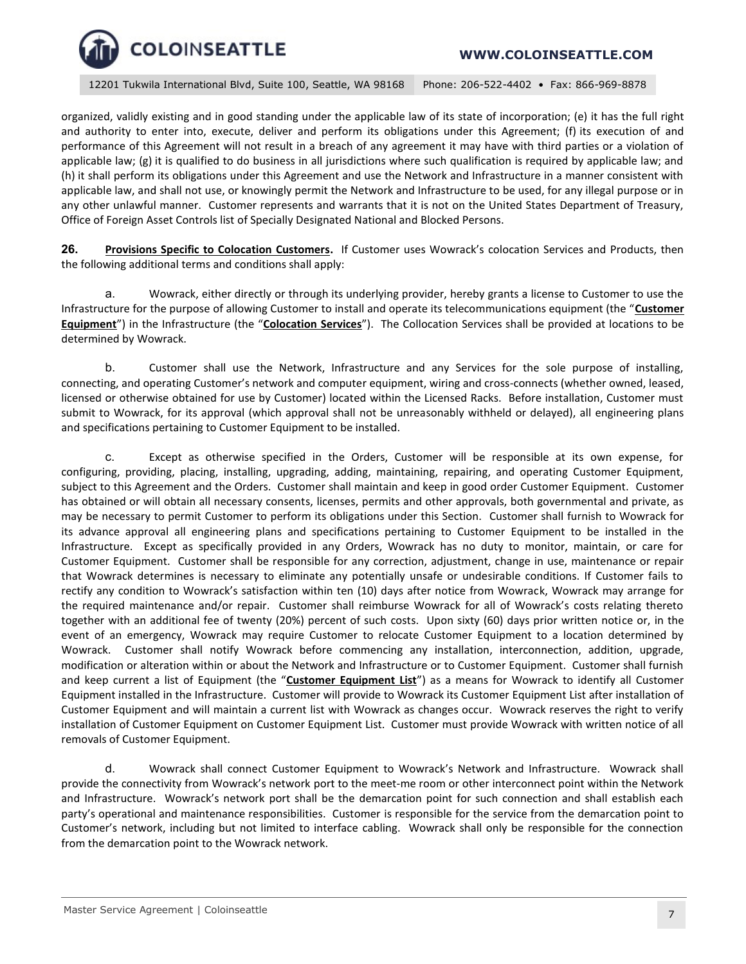12201 Tukwila International Blvd, Suite 100, Seattle, WA 98168 Phone: 206-522-4402 • Fax: 866-969-8878

organized, validly existing and in good standing under the applicable law of its state of incorporation; (e) it has the full right and authority to enter into, execute, deliver and perform its obligations under this Agreement; (f) its execution of and performance of this Agreement will not result in a breach of any agreement it may have with third parties or a violation of applicable law; (g) it is qualified to do business in all jurisdictions where such qualification is required by applicable law; and (h) it shall perform its obligations under this Agreement and use the Network and Infrastructure in a manner consistent with applicable law, and shall not use, or knowingly permit the Network and Infrastructure to be used, for any illegal purpose or in any other unlawful manner. Customer represents and warrants that it is not on the United States Department of Treasury, Office of Foreign Asset Controls list of Specially Designated National and Blocked Persons.

**26. Provisions Specific to Colocation Customers.** If Customer uses Wowrack's colocation Services and Products, then the following additional terms and conditions shall apply:

a. Wowrack, either directly or through its underlying provider, hereby grants a license to Customer to use the Infrastructure for the purpose of allowing Customer to install and operate its telecommunications equipment (the "**Customer Equipment**") in the Infrastructure (the "**Colocation Services**"). The Collocation Services shall be provided at locations to be determined by Wowrack.

b. Customer shall use the Network, Infrastructure and any Services for the sole purpose of installing, connecting, and operating Customer's network and computer equipment, wiring and cross-connects (whether owned, leased, licensed or otherwise obtained for use by Customer) located within the Licensed Racks. Before installation, Customer must submit to Wowrack, for its approval (which approval shall not be unreasonably withheld or delayed), all engineering plans and specifications pertaining to Customer Equipment to be installed.

c. Except as otherwise specified in the Orders, Customer will be responsible at its own expense, for configuring, providing, placing, installing, upgrading, adding, maintaining, repairing, and operating Customer Equipment, subject to this Agreement and the Orders. Customer shall maintain and keep in good order Customer Equipment. Customer has obtained or will obtain all necessary consents, licenses, permits and other approvals, both governmental and private, as may be necessary to permit Customer to perform its obligations under this Section. Customer shall furnish to Wowrack for its advance approval all engineering plans and specifications pertaining to Customer Equipment to be installed in the Infrastructure. Except as specifically provided in any Orders, Wowrack has no duty to monitor, maintain, or care for Customer Equipment. Customer shall be responsible for any correction, adjustment, change in use, maintenance or repair that Wowrack determines is necessary to eliminate any potentially unsafe or undesirable conditions. If Customer fails to rectify any condition to Wowrack's satisfaction within ten (10) days after notice from Wowrack, Wowrack may arrange for the required maintenance and/or repair. Customer shall reimburse Wowrack for all of Wowrack's costs relating thereto together with an additional fee of twenty (20%) percent of such costs. Upon sixty (60) days prior written notice or, in the event of an emergency, Wowrack may require Customer to relocate Customer Equipment to a location determined by Wowrack. Customer shall notify Wowrack before commencing any installation, interconnection, addition, upgrade, modification or alteration within or about the Network and Infrastructure or to Customer Equipment. Customer shall furnish and keep current a list of Equipment (the "**Customer Equipment List**") as a means for Wowrack to identify all Customer Equipment installed in the Infrastructure. Customer will provide to Wowrack its Customer Equipment List after installation of Customer Equipment and will maintain a current list with Wowrack as changes occur. Wowrack reserves the right to verify installation of Customer Equipment on Customer Equipment List. Customer must provide Wowrack with written notice of all removals of Customer Equipment.

d. Wowrack shall connect Customer Equipment to Wowrack's Network and Infrastructure. Wowrack shall provide the connectivity from Wowrack's network port to the meet-me room or other interconnect point within the Network and Infrastructure. Wowrack's network port shall be the demarcation point for such connection and shall establish each party's operational and maintenance responsibilities. Customer is responsible for the service from the demarcation point to Customer's network, including but not limited to interface cabling. Wowrack shall only be responsible for the connection from the demarcation point to the Wowrack network.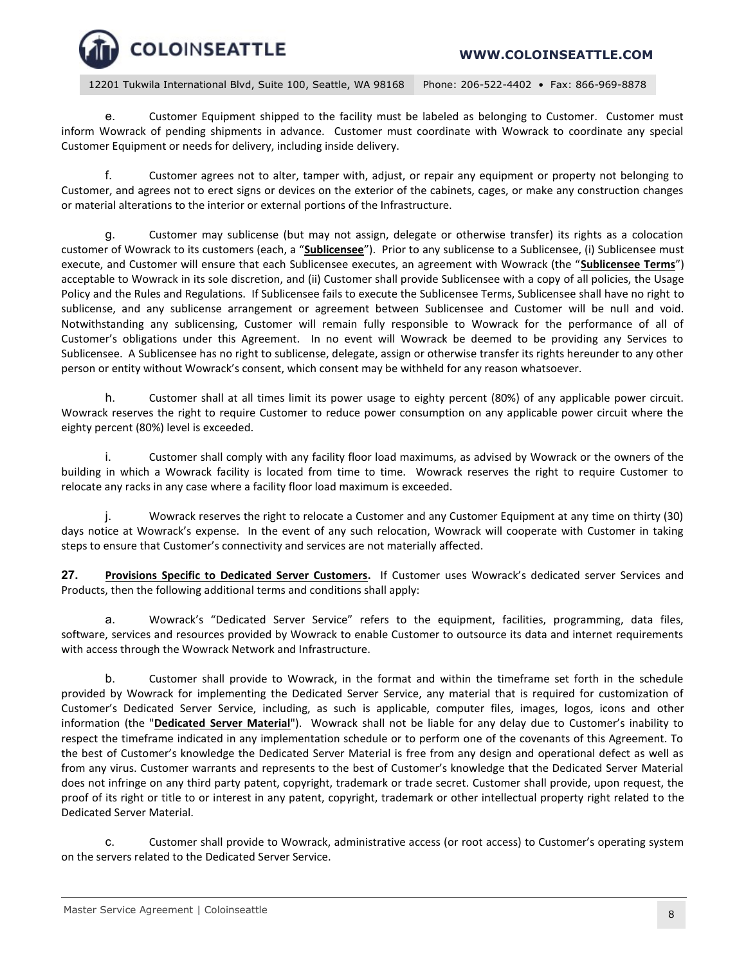12201 Tukwila International Blvd, Suite 100, Seattle, WA 98168 Phone: 206-522-4402 • Fax: 866-969-8878

e. Customer Equipment shipped to the facility must be labeled as belonging to Customer. Customer must inform Wowrack of pending shipments in advance. Customer must coordinate with Wowrack to coordinate any special Customer Equipment or needs for delivery, including inside delivery.

f. Customer agrees not to alter, tamper with, adjust, or repair any equipment or property not belonging to Customer, and agrees not to erect signs or devices on the exterior of the cabinets, cages, or make any construction changes or material alterations to the interior or external portions of the Infrastructure.

g. Customer may sublicense (but may not assign, delegate or otherwise transfer) its rights as a colocation customer of Wowrack to its customers (each, a "**Sublicensee**"). Prior to any sublicense to a Sublicensee, (i) Sublicensee must execute, and Customer will ensure that each Sublicensee executes, an agreement with Wowrack (the "**Sublicensee Terms**") acceptable to Wowrack in its sole discretion, and (ii) Customer shall provide Sublicensee with a copy of all policies, the Usage Policy and the Rules and Regulations. If Sublicensee fails to execute the Sublicensee Terms, Sublicensee shall have no right to sublicense, and any sublicense arrangement or agreement between Sublicensee and Customer will be null and void. Notwithstanding any sublicensing, Customer will remain fully responsible to Wowrack for the performance of all of Customer's obligations under this Agreement. In no event will Wowrack be deemed to be providing any Services to Sublicensee. A Sublicensee has no right to sublicense, delegate, assign or otherwise transfer its rights hereunder to any other person or entity without Wowrack's consent, which consent may be withheld for any reason whatsoever.

h. Customer shall at all times limit its power usage to eighty percent (80%) of any applicable power circuit. Wowrack reserves the right to require Customer to reduce power consumption on any applicable power circuit where the eighty percent (80%) level is exceeded.

i. Customer shall comply with any facility floor load maximums, as advised by Wowrack or the owners of the building in which a Wowrack facility is located from time to time. Wowrack reserves the right to require Customer to relocate any racks in any case where a facility floor load maximum is exceeded.

j. Wowrack reserves the right to relocate a Customer and any Customer Equipment at any time on thirty (30) days notice at Wowrack's expense. In the event of any such relocation, Wowrack will cooperate with Customer in taking steps to ensure that Customer's connectivity and services are not materially affected.

**27. Provisions Specific to Dedicated Server Customers.** If Customer uses Wowrack's dedicated server Services and Products, then the following additional terms and conditions shall apply:

a. Wowrack's "Dedicated Server Service" refers to the equipment, facilities, programming, data files, software, services and resources provided by Wowrack to enable Customer to outsource its data and internet requirements with access through the Wowrack Network and Infrastructure.

b. Customer shall provide to Wowrack, in the format and within the timeframe set forth in the schedule provided by Wowrack for implementing the Dedicated Server Service, any material that is required for customization of Customer's Dedicated Server Service, including, as such is applicable, computer files, images, logos, icons and other information (the "**Dedicated Server Material**"). Wowrack shall not be liable for any delay due to Customer's inability to respect the timeframe indicated in any implementation schedule or to perform one of the covenants of this Agreement. To the best of Customer's knowledge the Dedicated Server Material is free from any design and operational defect as well as from any virus. Customer warrants and represents to the best of Customer's knowledge that the Dedicated Server Material does not infringe on any third party patent, copyright, trademark or trade secret. Customer shall provide, upon request, the proof of its right or title to or interest in any patent, copyright, trademark or other intellectual property right related to the Dedicated Server Material.

c. Customer shall provide to Wowrack, administrative access (or root access) to Customer's operating system on the servers related to the Dedicated Server Service.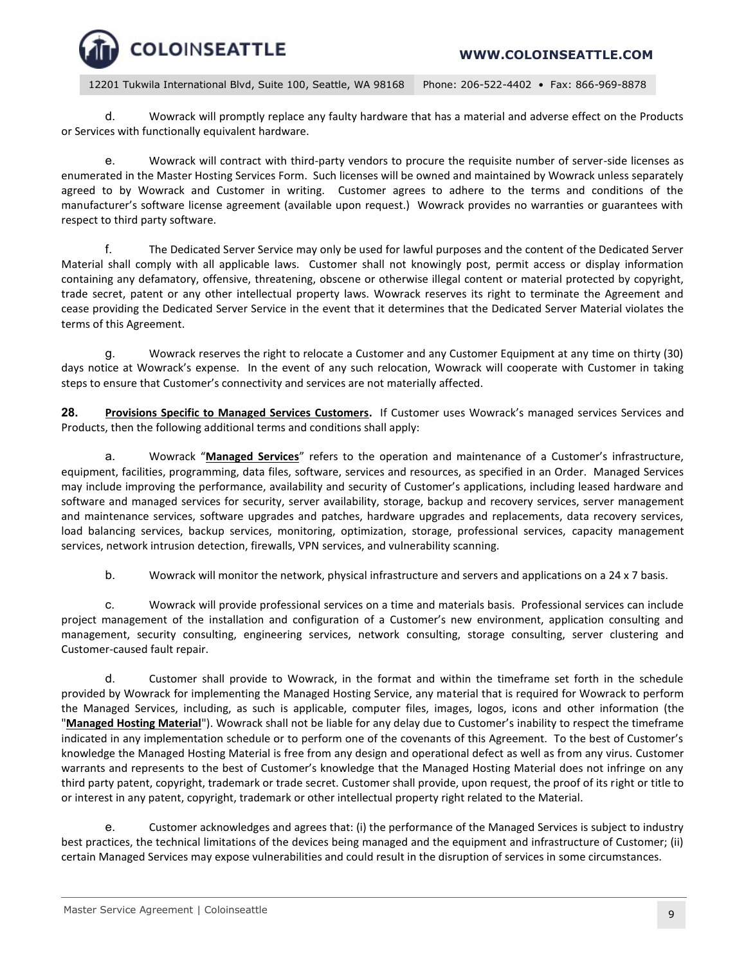

d. Wowrack will promptly replace any faulty hardware that has a material and adverse effect on the Products or Services with functionally equivalent hardware.

e. Wowrack will contract with third-party vendors to procure the requisite number of server-side licenses as enumerated in the Master Hosting Services Form. Such licenses will be owned and maintained by Wowrack unless separately agreed to by Wowrack and Customer in writing. Customer agrees to adhere to the terms and conditions of the manufacturer's software license agreement (available upon request.) Wowrack provides no warranties or guarantees with respect to third party software.

f. The Dedicated Server Service may only be used for lawful purposes and the content of the Dedicated Server Material shall comply with all applicable laws. Customer shall not knowingly post, permit access or display information containing any defamatory, offensive, threatening, obscene or otherwise illegal content or material protected by copyright, trade secret, patent or any other intellectual property laws. Wowrack reserves its right to terminate the Agreement and cease providing the Dedicated Server Service in the event that it determines that the Dedicated Server Material violates the terms of this Agreement.

g. Wowrack reserves the right to relocate a Customer and any Customer Equipment at any time on thirty (30) days notice at Wowrack's expense. In the event of any such relocation, Wowrack will cooperate with Customer in taking steps to ensure that Customer's connectivity and services are not materially affected.

**28. Provisions Specific to Managed Services Customers.** If Customer uses Wowrack's managed services Services and Products, then the following additional terms and conditions shall apply:

a. Wowrack "**Managed Services**" refers to the operation and maintenance of a Customer's infrastructure, equipment, facilities, programming, data files, software, services and resources, as specified in an Order. Managed Services may include improving the performance, availability and security of Customer's applications, including leased hardware and software and managed services for security, server availability, storage, backup and recovery services, server management and maintenance services, software upgrades and patches, hardware upgrades and replacements, data recovery services, load balancing services, backup services, monitoring, optimization, storage, professional services, capacity management services, network intrusion detection, firewalls, VPN services, and vulnerability scanning.

b. Wowrack will monitor the network, physical infrastructure and servers and applications on a 24 x 7 basis.

c. Wowrack will provide professional services on a time and materials basis. Professional services can include project management of the installation and configuration of a Customer's new environment, application consulting and management, security consulting, engineering services, network consulting, storage consulting, server clustering and Customer-caused fault repair.

d. Customer shall provide to Wowrack, in the format and within the timeframe set forth in the schedule provided by Wowrack for implementing the Managed Hosting Service, any material that is required for Wowrack to perform the Managed Services, including, as such is applicable, computer files, images, logos, icons and other information (the "**Managed Hosting Material**"). Wowrack shall not be liable for any delay due to Customer's inability to respect the timeframe indicated in any implementation schedule or to perform one of the covenants of this Agreement. To the best of Customer's knowledge the Managed Hosting Material is free from any design and operational defect as well as from any virus. Customer warrants and represents to the best of Customer's knowledge that the Managed Hosting Material does not infringe on any third party patent, copyright, trademark or trade secret. Customer shall provide, upon request, the proof of its right or title to or interest in any patent, copyright, trademark or other intellectual property right related to the Material.

e. Customer acknowledges and agrees that: (i) the performance of the Managed Services is subject to industry best practices, the technical limitations of the devices being managed and the equipment and infrastructure of Customer; (ii) certain Managed Services may expose vulnerabilities and could result in the disruption of services in some circumstances.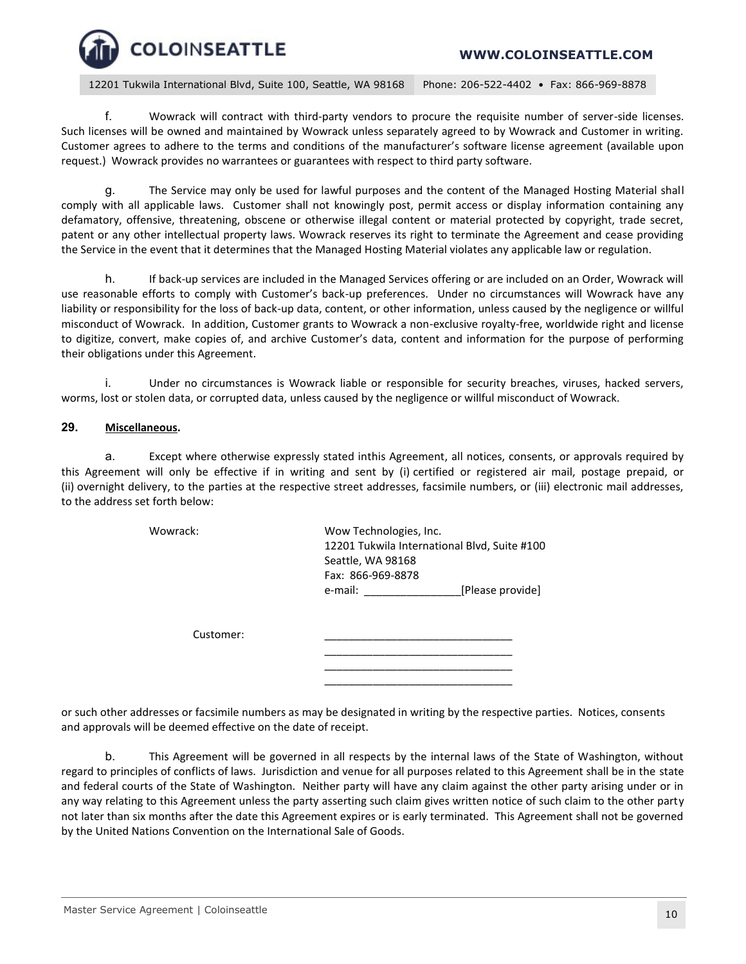## **WWW.COLOINSEATTLE.COM**

12201 Tukwila International Blvd, Suite 100, Seattle, WA 98168 Phone: 206-522-4402 • Fax: 866-969-8878

f. Wowrack will contract with third-party vendors to procure the requisite number of server-side licenses. Such licenses will be owned and maintained by Wowrack unless separately agreed to by Wowrack and Customer in writing. Customer agrees to adhere to the terms and conditions of the manufacturer's software license agreement (available upon request.) Wowrack provides no warrantees or guarantees with respect to third party software.

g. The Service may only be used for lawful purposes and the content of the Managed Hosting Material shall comply with all applicable laws. Customer shall not knowingly post, permit access or display information containing any defamatory, offensive, threatening, obscene or otherwise illegal content or material protected by copyright, trade secret, patent or any other intellectual property laws. Wowrack reserves its right to terminate the Agreement and cease providing the Service in the event that it determines that the Managed Hosting Material violates any applicable law or regulation.

h. If back-up services are included in the Managed Services offering or are included on an Order, Wowrack will use reasonable efforts to comply with Customer's back-up preferences. Under no circumstances will Wowrack have any liability or responsibility for the loss of back-up data, content, or other information, unless caused by the negligence or willful misconduct of Wowrack. In addition, Customer grants to Wowrack a non-exclusive royalty-free, worldwide right and license to digitize, convert, make copies of, and archive Customer's data, content and information for the purpose of performing their obligations under this Agreement.

i. Under no circumstances is Wowrack liable or responsible for security breaches, viruses, hacked servers, worms, lost or stolen data, or corrupted data, unless caused by the negligence or willful misconduct of Wowrack.

#### **29. Miscellaneous.**

a. Except where otherwise expressly stated inthis Agreement, all notices, consents, or approvals required by this Agreement will only be effective if in writing and sent by (i) certified or registered air mail, postage prepaid, or (ii) overnight delivery, to the parties at the respective street addresses, facsimile numbers, or (iii) electronic mail addresses, to the address set forth below:

Wowrack: Wow Technologies, Inc. 12201 Tukwila International Blvd, Suite #100 Seattle, WA 98168 Fax: 866-969-8878 e-mail:  $[Please provide]$ 

> \_\_\_\_\_\_\_\_\_\_\_\_\_\_\_\_\_\_\_\_\_\_\_\_\_\_\_\_\_\_\_ \_\_\_\_\_\_\_\_\_\_\_\_\_\_\_\_\_\_\_\_\_\_\_\_\_\_\_\_\_\_\_ \_\_\_\_\_\_\_\_\_\_\_\_\_\_\_\_\_\_\_\_\_\_\_\_\_\_\_\_\_\_\_

Customer:

or such other addresses or facsimile numbers as may be designated in writing by the respective parties. Notices, consents and approvals will be deemed effective on the date of receipt.

b. This Agreement will be governed in all respects by the internal laws of the State of Washington, without regard to principles of conflicts of laws. Jurisdiction and venue for all purposes related to this Agreement shall be in the state and federal courts of the State of Washington. Neither party will have any claim against the other party arising under or in any way relating to this Agreement unless the party asserting such claim gives written notice of such claim to the other party not later than six months after the date this Agreement expires or is early terminated. This Agreement shall not be governed by the United Nations Convention on the International Sale of Goods.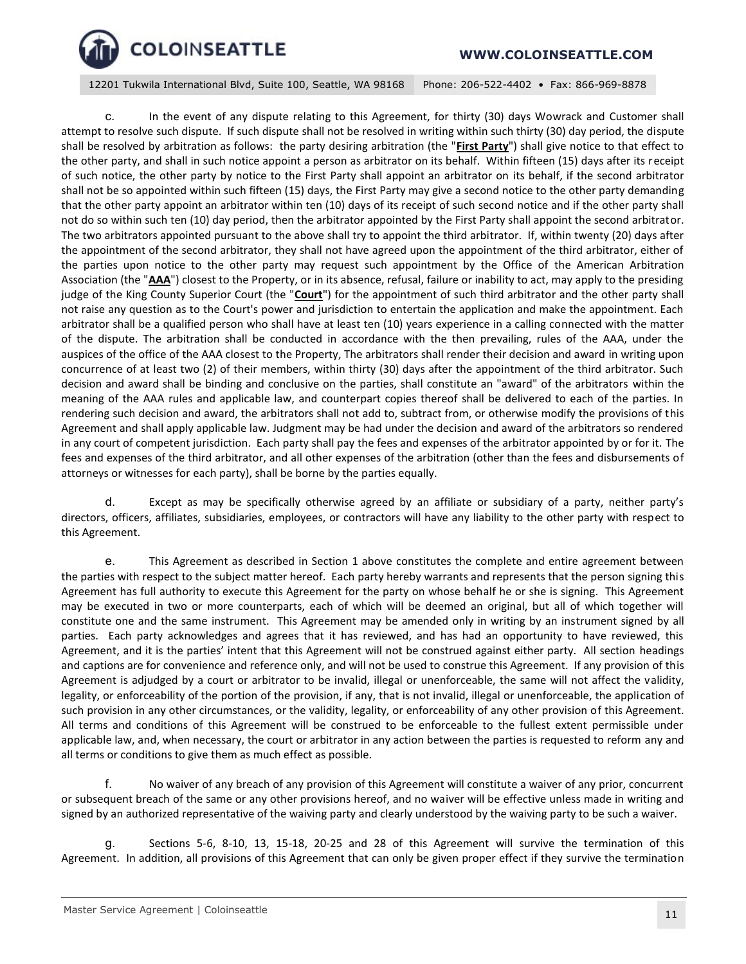12201 Tukwila International Blvd, Suite 100, Seattle, WA 98168 Phone: 206-522-4402 • Fax: 866-969-8878

c. In the event of any dispute relating to this Agreement, for thirty (30) days Wowrack and Customer shall attempt to resolve such dispute. If such dispute shall not be resolved in writing within such thirty (30) day period, the dispute shall be resolved by arbitration as follows: the party desiring arbitration (the "**First Party**") shall give notice to that effect to the other party, and shall in such notice appoint a person as arbitrator on its behalf. Within fifteen (15) days after its receipt of such notice, the other party by notice to the First Party shall appoint an arbitrator on its behalf, if the second arbitrator shall not be so appointed within such fifteen (15) days, the First Party may give a second notice to the other party demanding that the other party appoint an arbitrator within ten (10) days of its receipt of such second notice and if the other party shall not do so within such ten (10) day period, then the arbitrator appointed by the First Party shall appoint the second arbitrator. The two arbitrators appointed pursuant to the above shall try to appoint the third arbitrator. If, within twenty (20) days after the appointment of the second arbitrator, they shall not have agreed upon the appointment of the third arbitrator, either of the parties upon notice to the other party may request such appointment by the Office of the American Arbitration Association (the "**AAA**") closest to the Property, or in its absence, refusal, failure or inability to act, may apply to the presiding judge of the King County Superior Court (the "**Court**") for the appointment of such third arbitrator and the other party shall not raise any question as to the Court's power and jurisdiction to entertain the application and make the appointment. Each arbitrator shall be a qualified person who shall have at least ten (10) years experience in a calling connected with the matter of the dispute. The arbitration shall be conducted in accordance with the then prevailing, rules of the AAA, under the auspices of the office of the AAA closest to the Property, The arbitrators shall render their decision and award in writing upon concurrence of at least two (2) of their members, within thirty (30) days after the appointment of the third arbitrator. Such decision and award shall be binding and conclusive on the parties, shall constitute an "award" of the arbitrators within the meaning of the AAA rules and applicable law, and counterpart copies thereof shall be delivered to each of the parties. In rendering such decision and award, the arbitrators shall not add to, subtract from, or otherwise modify the provisions of this Agreement and shall apply applicable law. Judgment may be had under the decision and award of the arbitrators so rendered in any court of competent jurisdiction. Each party shall pay the fees and expenses of the arbitrator appointed by or for it. The fees and expenses of the third arbitrator, and all other expenses of the arbitration (other than the fees and disbursements of attorneys or witnesses for each party), shall be borne by the parties equally.

d. Except as may be specifically otherwise agreed by an affiliate or subsidiary of a party, neither party's directors, officers, affiliates, subsidiaries, employees, or contractors will have any liability to the other party with respect to this Agreement.

e. This Agreement as described in Section 1 above constitutes the complete and entire agreement between the parties with respect to the subject matter hereof. Each party hereby warrants and represents that the person signing this Agreement has full authority to execute this Agreement for the party on whose behalf he or she is signing. This Agreement may be executed in two or more counterparts, each of which will be deemed an original, but all of which together will constitute one and the same instrument. This Agreement may be amended only in writing by an instrument signed by all parties. Each party acknowledges and agrees that it has reviewed, and has had an opportunity to have reviewed, this Agreement, and it is the parties' intent that this Agreement will not be construed against either party. All section headings and captions are for convenience and reference only, and will not be used to construe this Agreement. If any provision of this Agreement is adjudged by a court or arbitrator to be invalid, illegal or unenforceable, the same will not affect the validity, legality, or enforceability of the portion of the provision, if any, that is not invalid, illegal or unenforceable, the application of such provision in any other circumstances, or the validity, legality, or enforceability of any other provision of this Agreement. All terms and conditions of this Agreement will be construed to be enforceable to the fullest extent permissible under applicable law, and, when necessary, the court or arbitrator in any action between the parties is requested to reform any and all terms or conditions to give them as much effect as possible.

f. No waiver of any breach of any provision of this Agreement will constitute a waiver of any prior, concurrent or subsequent breach of the same or any other provisions hereof, and no waiver will be effective unless made in writing and signed by an authorized representative of the waiving party and clearly understood by the waiving party to be such a waiver.

Sections 5-6, 8-10, 13, 15-18, 20-25 and 28 of this Agreement will survive the termination of this Agreement. In addition, all provisions of this Agreement that can only be given proper effect if they survive the termination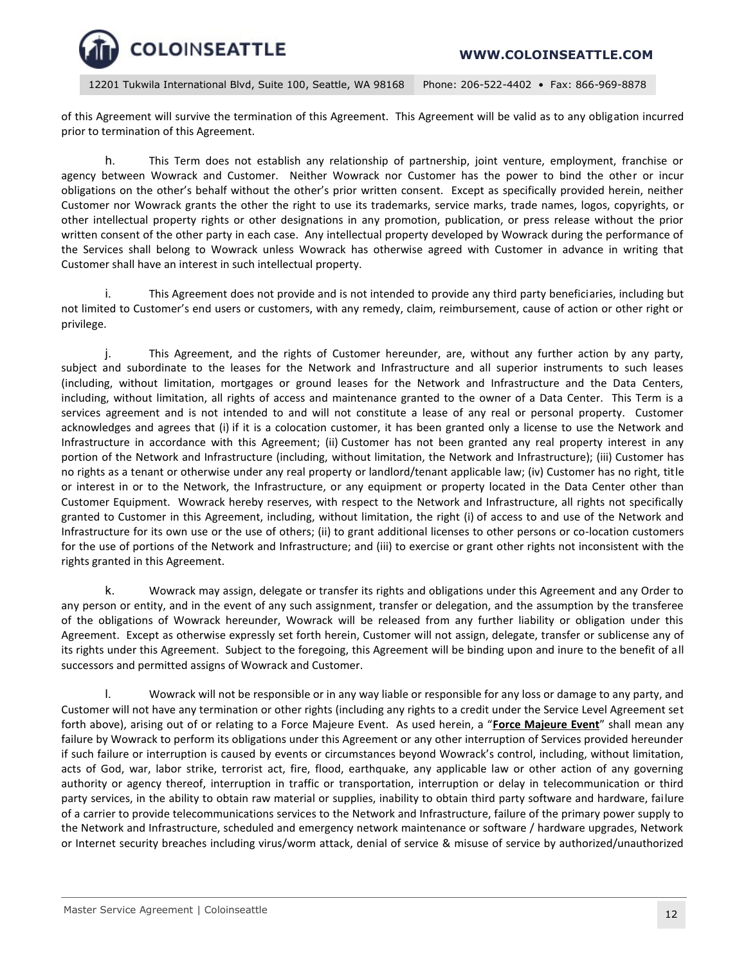

of this Agreement will survive the termination of this Agreement. This Agreement will be valid as to any obligation incurred prior to termination of this Agreement.

h. This Term does not establish any relationship of partnership, joint venture, employment, franchise or agency between Wowrack and Customer. Neither Wowrack nor Customer has the power to bind the other or incur obligations on the other's behalf without the other's prior written consent. Except as specifically provided herein, neither Customer nor Wowrack grants the other the right to use its trademarks, service marks, trade names, logos, copyrights, or other intellectual property rights or other designations in any promotion, publication, or press release without the prior written consent of the other party in each case. Any intellectual property developed by Wowrack during the performance of the Services shall belong to Wowrack unless Wowrack has otherwise agreed with Customer in advance in writing that Customer shall have an interest in such intellectual property.

i. This Agreement does not provide and is not intended to provide any third party beneficiaries, including but not limited to Customer's end users or customers, with any remedy, claim, reimbursement, cause of action or other right or privilege.

j. This Agreement, and the rights of Customer hereunder, are, without any further action by any party, subject and subordinate to the leases for the Network and Infrastructure and all superior instruments to such leases (including, without limitation, mortgages or ground leases for the Network and Infrastructure and the Data Centers, including, without limitation, all rights of access and maintenance granted to the owner of a Data Center. This Term is a services agreement and is not intended to and will not constitute a lease of any real or personal property. Customer acknowledges and agrees that (i) if it is a colocation customer, it has been granted only a license to use the Network and Infrastructure in accordance with this Agreement; (ii) Customer has not been granted any real property interest in any portion of the Network and Infrastructure (including, without limitation, the Network and Infrastructure); (iii) Customer has no rights as a tenant or otherwise under any real property or landlord/tenant applicable law; (iv) Customer has no right, title or interest in or to the Network, the Infrastructure, or any equipment or property located in the Data Center other than Customer Equipment. Wowrack hereby reserves, with respect to the Network and Infrastructure, all rights not specifically granted to Customer in this Agreement, including, without limitation, the right (i) of access to and use of the Network and Infrastructure for its own use or the use of others; (ii) to grant additional licenses to other persons or co-location customers for the use of portions of the Network and Infrastructure; and (iii) to exercise or grant other rights not inconsistent with the rights granted in this Agreement.

k. Wowrack may assign, delegate or transfer its rights and obligations under this Agreement and any Order to any person or entity, and in the event of any such assignment, transfer or delegation, and the assumption by the transferee of the obligations of Wowrack hereunder, Wowrack will be released from any further liability or obligation under this Agreement. Except as otherwise expressly set forth herein, Customer will not assign, delegate, transfer or sublicense any of its rights under this Agreement. Subject to the foregoing, this Agreement will be binding upon and inure to the benefit of all successors and permitted assigns of Wowrack and Customer.

l. Wowrack will not be responsible or in any way liable or responsible for any loss or damage to any party, and Customer will not have any termination or other rights (including any rights to a credit under the Service Level Agreement set forth above), arising out of or relating to a Force Majeure Event. As used herein, a "**Force Majeure Event**" shall mean any failure by Wowrack to perform its obligations under this Agreement or any other interruption of Services provided hereunder if such failure or interruption is caused by events or circumstances beyond Wowrack's control, including, without limitation, acts of God, war, labor strike, terrorist act, fire, flood, earthquake, any applicable law or other action of any governing authority or agency thereof, interruption in traffic or transportation, interruption or delay in telecommunication or third party services, in the ability to obtain raw material or supplies, inability to obtain third party software and hardware, failure of a carrier to provide telecommunications services to the Network and Infrastructure, failure of the primary power supply to the Network and Infrastructure, scheduled and emergency network maintenance or software / hardware upgrades, Network or Internet security breaches including virus/worm attack, denial of service & misuse of service by authorized/unauthorized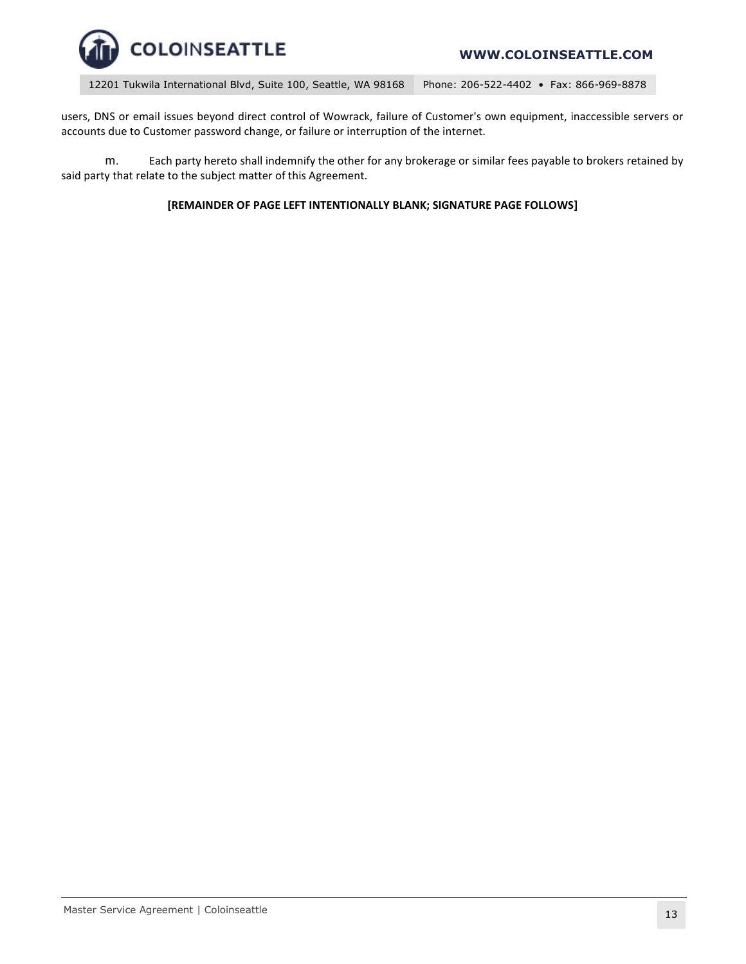

### **WWW.COLOINSEATTLE.COM**

12201 Tukwila International Blvd, Suite 100, Seattle, WA 98168 Phone: 206-522-4402 • Fax: 866-969-8878

users, DNS or email issues beyond direct control of Wowrack, failure of Customer's own equipment, inaccessible servers or accounts due to Customer password change, or failure or interruption of the internet.

m. Each party hereto shall indemnify the other for any brokerage or similar fees payable to brokers retained by said party that relate to the subject matter of this Agreement.

#### **[REMAINDER OF PAGE LEFT INTENTIONALLY BLANK; SIGNATURE PAGE FOLLOWS]**